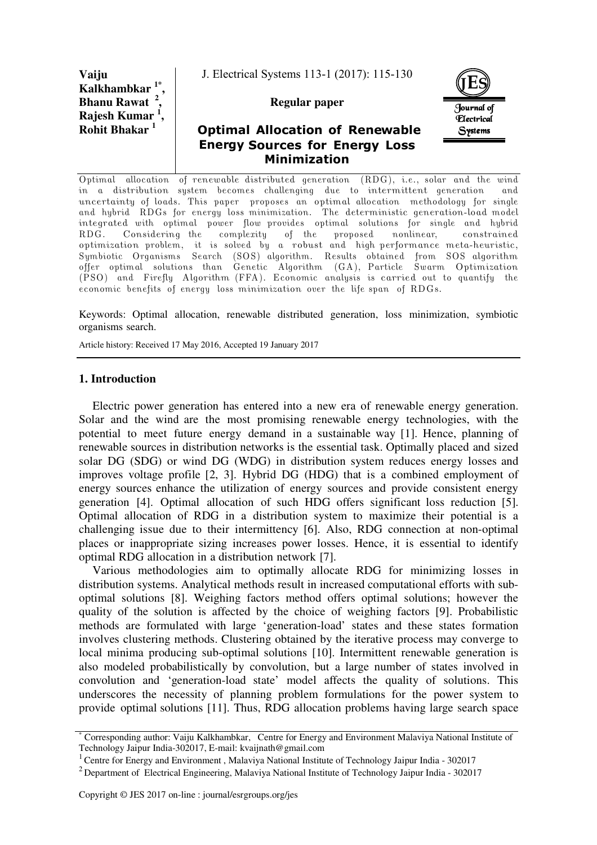**Vaiju Kalkhambkar , Bhanu Rawat <sup>2</sup> , Rajesh Kumar <sup>1</sup> , Rohit Bhakar <sup>1</sup>**

J. Electrical Systems 113-1 (2017): 115-130

## **Regular paper**





Optimal allocation of renewable distributed generation (RDG), i.e., solar and the wind in a distribution system becomes challenging due to intermittent generation and uncertainty of loads. This paper proposes an optimal allocation methodology for single and hybrid RDGs for energy loss minimization. The deterministic generation-load model integrated with optimal power flow provides optimal solutions for single and hybrid RDG. Considering the complexity of the proposed nonlinear, constrained optimization problem, it is solved by a robust and high performance meta-heuristic, Symbiotic Organisms Search (SOS) algorithm. Results obtained from SOS algorithm offer optimal solutions than Genetic Algorithm (GA), Particle Swarm Optimization (PSO) and Firefly Algorithm (FFA). Economic analysis is carried out to quantify the economic benefits of energy loss minimization over the life span of RDGs.

Keywords: Optimal allocation, renewable distributed generation, loss minimization, symbiotic organisms search.

Article history: Received 17 May 2016, Accepted 19 January 2017

### **1. Introduction**

Electric power generation has entered into a new era of renewable energy generation. Solar and the wind are the most promising renewable energy technologies, with the potential to meet future energy demand in a sustainable way [1]. Hence, planning of renewable sources in distribution networks is the essential task. Optimally placed and sized solar DG (SDG) or wind DG (WDG) in distribution system reduces energy losses and improves voltage profile [2, 3]. Hybrid DG (HDG) that is a combined employment of energy sources enhance the utilization of energy sources and provide consistent energy generation [4]. Optimal allocation of such HDG offers significant loss reduction [5]. Optimal allocation of RDG in a distribution system to maximize their potential is a challenging issue due to their intermittency [6]. Also, RDG connection at non-optimal places or inappropriate sizing increases power losses. Hence, it is essential to identify optimal RDG allocation in a distribution network [7].

Various methodologies aim to optimally allocate RDG for minimizing losses in distribution systems. Analytical methods result in increased computational efforts with suboptimal solutions [8]. Weighing factors method offers optimal solutions; however the quality of the solution is affected by the choice of weighing factors [9]. Probabilistic methods are formulated with large 'generation-load' states and these states formation involves clustering methods. Clustering obtained by the iterative process may converge to local minima producing sub-optimal solutions [10]. Intermittent renewable generation is also modeled probabilistically by convolution, but a large number of states involved in convolution and 'generation-load state' model affects the quality of solutions. This underscores the necessity of planning problem formulations for the power system to provide optimal solutions [11]. Thus, RDG allocation problems having large search space

<sup>\*</sup> Corresponding author: Vaiju Kalkhambkar, Centre for Energy and Environment Malaviya National Institute of Technology Jaipur India-302017, E-mail: kvaijnath@gmail.com

 $1$  Centre for Energy and Environment, Malaviya National Institute of Technology Jaipur India - 302017

<sup>&</sup>lt;sup>2</sup> Department of Electrical Engineering, Malaviya National Institute of Technology Jaipur India - 302017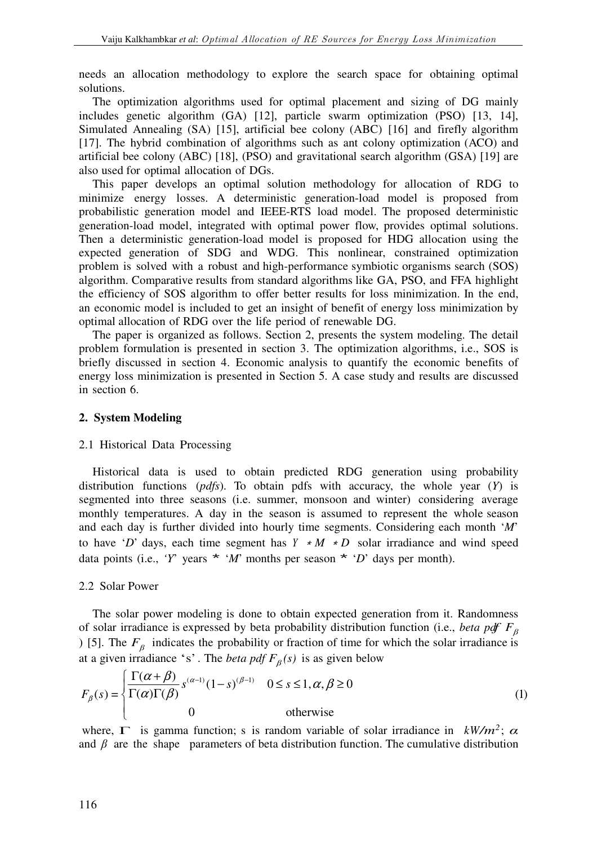needs an allocation methodology to explore the search space for obtaining optimal solutions.

The optimization algorithms used for optimal placement and sizing of DG mainly includes genetic algorithm (GA) [12], particle swarm optimization (PSO) [13, 14], Simulated Annealing (SA) [15], artificial bee colony (ABC) [16] and firefly algorithm [17]. The hybrid combination of algorithms such as ant colony optimization (ACO) and artificial bee colony (ABC) [18], (PSO) and gravitational search algorithm (GSA) [19] are also used for optimal allocation of DGs.

This paper develops an optimal solution methodology for allocation of RDG to minimize energy losses. A deterministic generation-load model is proposed from probabilistic generation model and IEEE-RTS load model. The proposed deterministic generation-load model, integrated with optimal power flow, provides optimal solutions. Then a deterministic generation-load model is proposed for HDG allocation using the expected generation of SDG and WDG. This nonlinear, constrained optimization problem is solved with a robust and high-performance symbiotic organisms search (SOS) algorithm. Comparative results from standard algorithms like GA, PSO, and FFA highlight the efficiency of SOS algorithm to offer better results for loss minimization. In the end, an economic model is included to get an insight of benefit of energy loss minimization by optimal allocation of RDG over the life period of renewable DG.

The paper is organized as follows. Section 2, presents the system modeling. The detail problem formulation is presented in section 3. The optimization algorithms, i.e., SOS is briefly discussed in section 4. Economic analysis to quantify the economic benefits of energy loss minimization is presented in Section 5. A case study and results are discussed in section 6.

### **2. System Modeling**

### 2.1 Historical Data Processing

 Historical data is used to obtain predicted RDG generation using probability distribution functions (*pdfs*). To obtain pdfs with accuracy, the whole year (*Y*) is segmented into three seasons (i.e. summer, monsoon and winter) considering average monthly temperatures. A day in the season is assumed to represent the whole season and each day is further divided into hourly time segments. Considering each month '*M*' to have '*D*' days, each time segment has  $Y * M * D$  solar irradiance and wind speed data points (i.e., *'Y'* years  $*$  *'M'* months per season  $*$  *'D'* days per month).

### 2.2 Solar Power

The solar power modeling is done to obtain expected generation from it. Randomness of solar irradiance is expressed by beta probability distribution function (i.e., *beta pdf F<sup>β</sup>* ) [5]. The  $F<sub>β</sub>$  indicates the probability or fraction of time for which the solar irradiance is at a given irradiance 's'. The *beta pdf*  $F_\beta(s)$  is as given below

$$
F_{\beta}(s) = \begin{cases} \frac{\Gamma(\alpha + \beta)}{\Gamma(\alpha)\Gamma(\beta)} s^{(\alpha - 1)} (1 - s)^{(\beta - 1)} & 0 \le s \le 1, \alpha, \beta \ge 0\\ 0 & \text{otherwise} \end{cases}
$$
(1)

where,  $\Gamma$  is gamma function; s is random variable of solar irradiance in  $kW/m^2$ ;  $\alpha$ and  $\beta$  are the shape parameters of beta distribution function. The cumulative distribution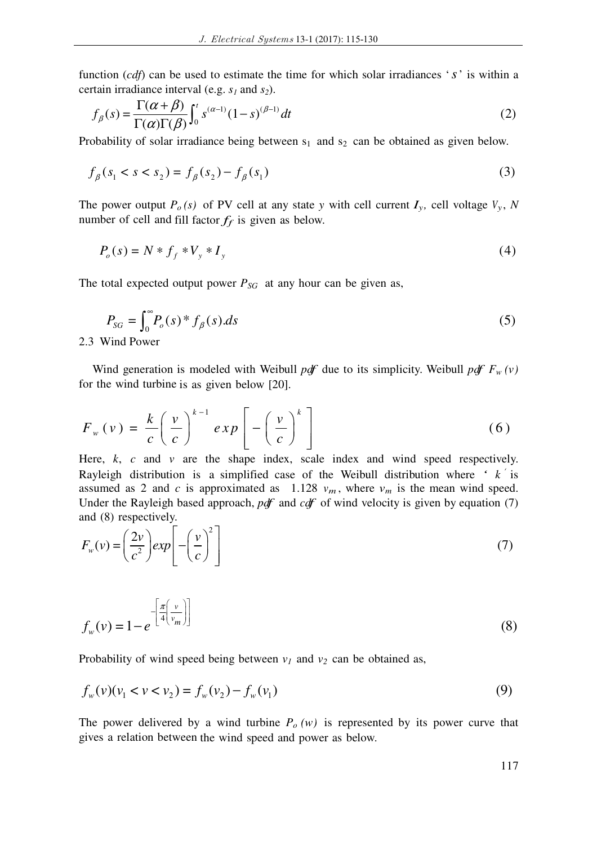function (*cdf*) can be used to estimate the time for which solar irradiances '*s*' is within a certain irradiance interval (e.g. *s1* and *s2*).

$$
f_{\beta}(s) = \frac{\Gamma(\alpha + \beta)}{\Gamma(\alpha)\Gamma(\beta)} \int_0^t s^{(\alpha - 1)} (1 - s)^{(\beta - 1)} dt
$$
 (2)

Probability of solar irradiance being between  $s_1$  and  $s_2$  can be obtained as given below.

$$
f_{\beta}(s_1 < s < s_2) = f_{\beta}(s_2) - f_{\beta}(s_1)
$$
\n(3)

The power output  $P_o(s)$  of PV cell at any state *y* with cell current  $I_y$ , cell voltage  $V_y$ ,  $N$ number of cell and fill factor  $f_f$  is given as below.

$$
P_o(s) = N * f_f * V_y * I_y
$$
 (4)

The total expected output power  $P_{SG}$  at any hour can be given as,

$$
P_{SG} = \int_0^\infty P_o(s)^* f_\beta(s) \, ds \tag{5}
$$

2.3 Wind Power

Wind generation is modeled with Weibull *pdf* due to its simplicity. Weibull *pdf*  $F_w(v)$ for the wind turbine is as given below [20].

$$
F_w(v) = \frac{k}{c} \left(\frac{v}{c}\right)^{k-1} exp\left[-\left(\frac{v}{c}\right)^k\right]
$$
 (6)

Here, *k*, *c* and *v* are the shape index, scale index and wind speed respectively. Rayleigh distribution is a simplified case of the Weibull distribution where  $\hat{i}$  k is assumed as 2 and *c* is approximated as 1.128  $v_m$ , where  $v_m$  is the mean wind speed. Under the Rayleigh based approach, *pdf* and *cdf* of wind velocity is given by equation (7) and (8) respectively.

$$
F_w(v) = \left(\frac{2v}{c^2}\right) exp\left[-\left(\frac{v}{c}\right)^2\right]
$$
\n(7)

$$
f_w(v) = 1 - e^{-\left[\frac{\pi\left(v\right)}{4\left(v_m\right)}\right]}
$$
\n<sup>(8)</sup>

Probability of wind speed being between  $v_1$  and  $v_2$  can be obtained as,

$$
f_w(v)(v_1 < v < v_2) = f_w(v_2) - f_w(v_1)
$$
\n(9)

The power delivered by a wind turbine  $P_o(w)$  is represented by its power curve that gives a relation between the wind speed and power as below.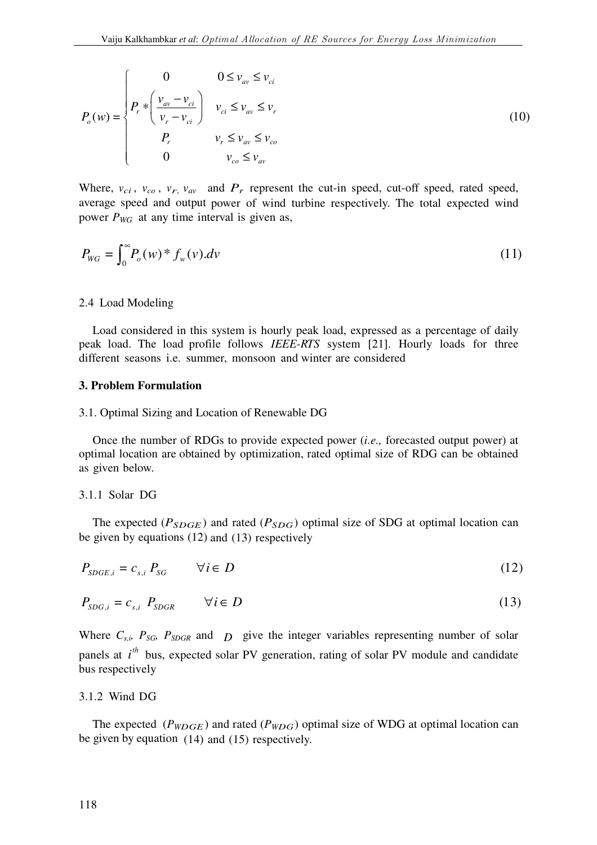$$
P_o(w) = \begin{cases} 0 & 0 \le v_{av} \le v_{ci} \\ P_r \ast \left(\frac{v_{av} - v_{ci}}{v_r - v_{ci}}\right) & v_{ci} \le v_{av} \le v_r \\ P_r & v_r \le v_{av} \le v_{co} \\ 0 & v_{co} \le v_{av} \end{cases} \tag{10}
$$

Where,  $v_{ci}$ ,  $v_{co}$ ,  $v_r$ ,  $v_{av}$  and  $P_r$  represent the cut-in speed, cut-off speed, rated speed, average speed and output power of wind turbine respectively. The total expected wind power  $P_{WG}$  at any time interval is given as,

$$
P_{WG} = \int_0^\infty P_o(w)^* f_w(v) dv
$$
 (11)

### 2.4 Load Modeling

Load considered in this system is hourly peak load, expressed as a percentage of daily peak load. The load profile follows *IEEE-RTS* system [21]. Hourly loads for three different seasons i.e. summer, monsoon and winter are considered

#### **3. Problem Formulation**

### 3.1. Optimal Sizing and Location of Renewable DG

Once the number of RDGs to provide expected power (*i.e.,* forecasted output power) at optimal location are obtained by optimization, rated optimal size of RDG can be obtained as given below.

#### 3.1.1 Solar DG

The expected ( $P_{SDGE}$ ) and rated ( $P_{SDG}$ ) optimal size of SDG at optimal location can be given by equations (12) and (13) respectively

$$
P_{SDGE,i} = c_{s,i} P_{SG} \qquad \forall i \in D \tag{12}
$$

$$
P_{SDG,i} = c_{s,i} \ P_{SDGR} \qquad \forall i \in D \tag{13}
$$

Where  $C_{s,i}$ ,  $P_{SG}$ ,  $P_{SDGR}$  and  $D$  give the integer variables representing number of solar panels at  $i^{th}$  bus, expected solar PV generation, rating of solar PV module and candidate bus respectively

# 3.1.2 Wind DG

The expected ( $P_{WDGE}$ ) and rated ( $P_{WDG}$ ) optimal size of WDG at optimal location can be given by equation (14) and (15) respectively.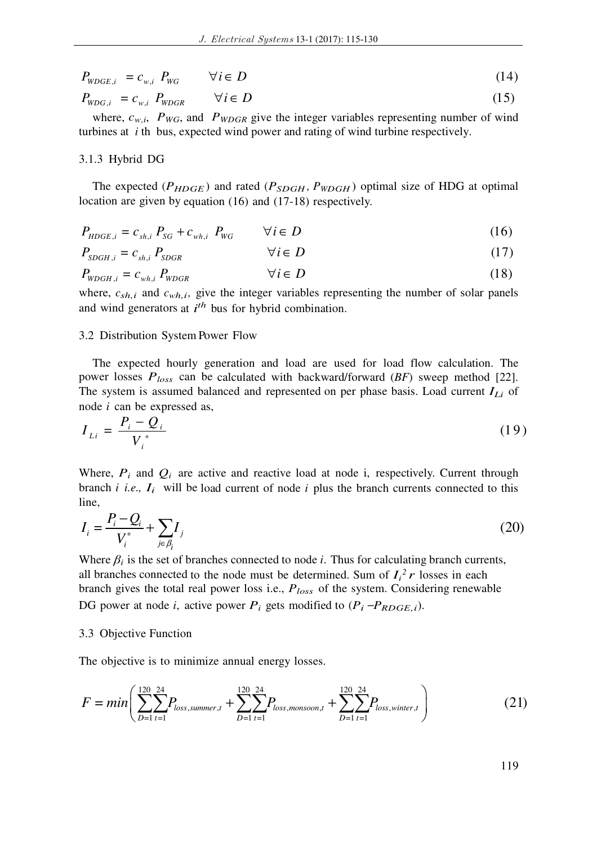| $P_{WDEE,i} = c_{w,i} P_{WG}$ $\forall i \in D$                | (14) |
|----------------------------------------------------------------|------|
| $P_{_{WDG,i}} = c_{_{w,i}} P_{_{WDGR}} \qquad \forall i \in D$ | (15) |

where,  $c_{w,i}$ ,  $P_{WG}$ , and  $P_{WDGR}$  give the integer variables representing number of wind turbines at *i* th bus, expected wind power and rating of wind turbine respectively.

## 3.1.3 Hybrid DG

The expected ( $P_{HDGE}$ ) and rated ( $P_{SDGH}$ ,  $P_{WDGH}$ ) optimal size of HDG at optimal location are given by equation (16) and (17-18) respectively.

$$
P_{H D G E, i} = c_{sh,i} P_{SG} + c_{wh,i} P_{WG} \qquad \forall i \in D \tag{16}
$$

$$
P_{SDGH,i} = c_{sh,i} P_{SDGR} \qquad \forall i \in D \tag{17}
$$

$$
P_{W D G H, i} = c_{w h, i} P_{W D G R} \qquad \forall i \in D \tag{18}
$$

where,  $c_{sh,i}$  and  $c_{wh,i}$ , give the integer variables representing the number of solar panels and wind generators at *i th* bus for hybrid combination.

### 3.2 Distribution System Power Flow

The expected hourly generation and load are used for load flow calculation. The power losses *Ploss* can be calculated with backward/forward (*BF*) sweep method [22]. The system is assumed balanced and represented on per phase basis. Load current *ILi* of node *i* can be expressed as,

$$
I_{Li} = \frac{P_i - Q_i}{V_i^*}
$$
 (19)

Where,  $P_i$  and  $Q_i$  are active and reactive load at node i, respectively. Current through branch *i i.e.*,  $I_i$  will be load current of node *i* plus the branch currents connected to this line,

$$
I_{i} = \frac{P_{i} - Q_{i}}{V_{i}^{*}} + \sum_{j \in \beta_{i}} I_{j}
$$
 (20)

Where  $\beta_i$  is the set of branches connected to node *i*. Thus for calculating branch currents, all branches connected to the node must be determined. Sum of  $I_i^2 r$  losses in each branch gives the total real power loss i.e., *Ploss* of the system. Considering renewable DG power at node *i*, active power  $P_i$  gets modified to  $(P_i - P_{RDEE,i})$ .

### 3.3 Objective Function

The objective is to minimize annual energy losses.

$$
F = min \left( \sum_{D=1}^{120} \sum_{t=1}^{24} P_{loss, summer, t} + \sum_{D=1}^{120} \sum_{t=1}^{24} P_{loss, monsoon, t} + \sum_{D=1}^{120} \sum_{t=1}^{24} P_{loss, winter, t} \right)
$$
(21)

119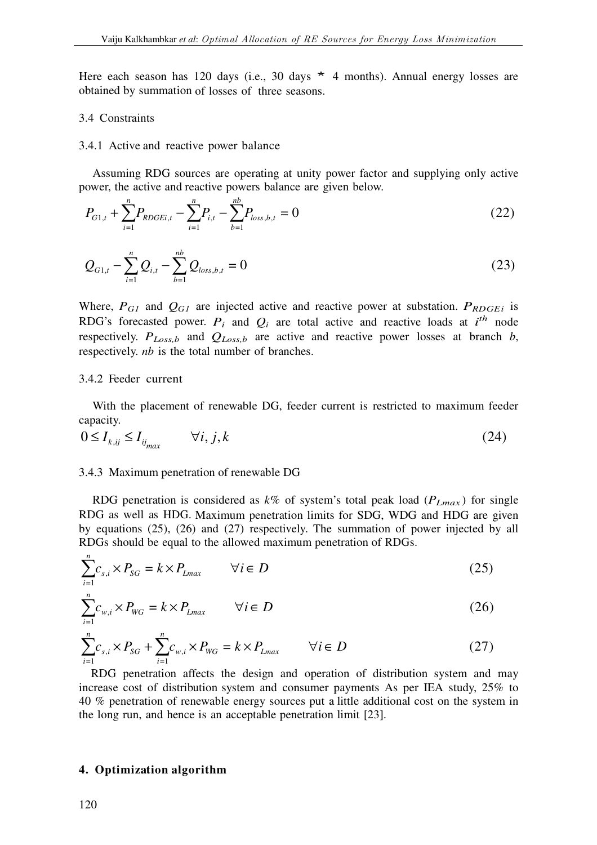Here each season has 120 days (i.e., 30 days  $*$  4 months). Annual energy losses are obtained by summation of losses of three seasons.

#### 3.4 Constraints

#### 3.4.1 Active and reactive power balance

Assuming RDG sources are operating at unity power factor and supplying only active power, the active and reactive powers balance are given below.

$$
P_{G1,t} + \sum_{i=1}^{n} P_{RDEE,i} - \sum_{i=1}^{n} P_{i,t} - \sum_{b=1}^{nb} P_{loss,b,t} = 0
$$
 (22)

$$
Q_{G1,t} - \sum_{i=1}^{n} Q_{i,t} - \sum_{b=1}^{nb} Q_{loss,b,t} = 0
$$
\n(23)

Where,  $P_{GI}$  and  $Q_{GI}$  are injected active and reactive power at substation.  $P_{RDEE}$  is RDG's forecasted power.  $P_i$  and  $Q_i$  are total active and reactive loads at  $i^{th}$  node respectively.  $P_{Loss,b}$  and  $Q_{Loss,b}$  are active and reactive power losses at branch *b*, respectively. *nb* is the total number of branches.

### 3.4.2 Feeder current

With the placement of renewable DG, feeder current is restricted to maximum feeder capacity.

$$
0 \le I_{k,ij} \le I_{ij_{max}} \qquad \forall i, j, k \tag{24}
$$

#### 3.4.3 Maximum penetration of renewable DG

RDG penetration is considered as  $k\%$  of system's total peak load ( $P_{Lmax}$ ) for single RDG as well as HDG. Maximum penetration limits for SDG, WDG and HDG are given by equations (25), (26) and (27) respectively. The summation of power injected by all RDGs should be equal to the allowed maximum penetration of RDGs.

$$
\sum_{i=1}^{n} c_{s,i} \times P_{SG} = k \times P_{Lmax} \qquad \forall i \in D \tag{25}
$$

$$
\sum_{i=1}^{n} c_{w,i} \times P_{WG} = k \times P_{Lmax} \qquad \forall i \in D
$$
 (26)

$$
\sum_{i=1}^{n} c_{s,i} \times P_{SG} + \sum_{i=1}^{n} c_{w,i} \times P_{WG} = k \times P_{Lmax} \qquad \forall i \in D
$$
\n(27)

 RDG penetration affects the design and operation of distribution system and may increase cost of distribution system and consumer payments As per IEA study, 25% to 40 % penetration of renewable energy sources put a little additional cost on the system in the long run, and hence is an acceptable penetration limit [23].

### **4. Optimization algorithm**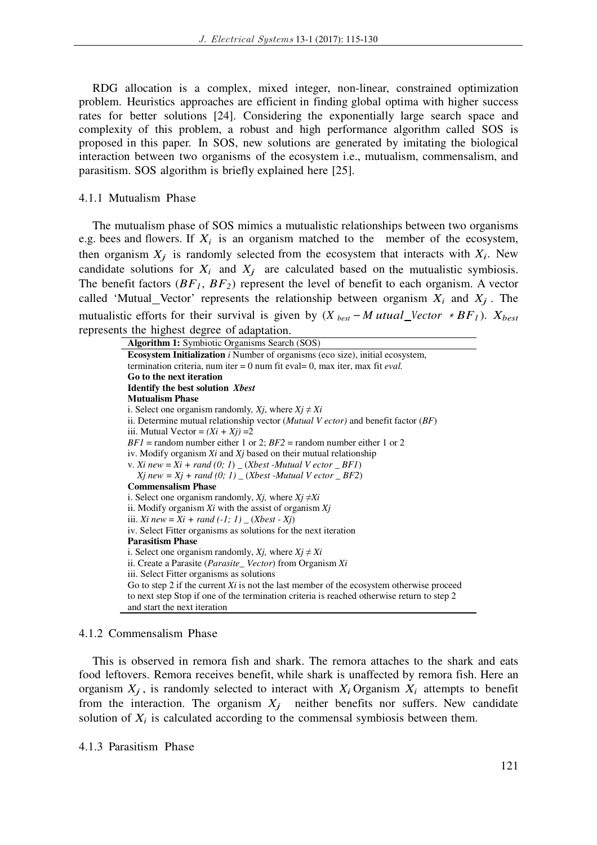RDG allocation is a complex, mixed integer, non-linear, constrained optimization problem. Heuristics approaches are efficient in finding global optima with higher success rates for better solutions [24]. Considering the exponentially large search space and complexity of this problem, a robust and high performance algorithm called SOS is proposed in this paper. In SOS, new solutions are generated by imitating the biological interaction between two organisms of the ecosystem i.e., mutualism, commensalism, and parasitism. SOS algorithm is briefly explained here [25].

### 4.1.1 Mutualism Phase

The mutualism phase of SOS mimics a mutualistic relationships between two organisms e.g. bees and flowers. If  $X_i$  is an organism matched to the member of the ecosystem, then organism  $X_j$  is randomly selected from the ecosystem that interacts with  $X_i$ . New candidate solutions for  $X_i$  and  $X_j$  are calculated based on the mutualistic symbiosis. The benefit factors  $(BF<sub>1</sub>, BF<sub>2</sub>)$  represent the level of benefit to each organism. A vector called 'Mutual\_Vector' represents the relationship between organism  $X_i$  and  $X_j$ . The mutualistic efforts for their survival is given by  $(X_{best} - M utual\_Vector * BF_I)$ .  $X_{best}$ represents the highest degree of adaptation.

#### 4.1.2 Commensalism Phase

This is observed in remora fish and shark. The remora attaches to the shark and eats food leftovers. Remora receives benefit, while shark is unaffected by remora fish. Here an organism  $X_j$ , is randomly selected to interact with  $X_i$  Organism  $X_i$  attempts to benefit from the interaction. The organism  $X_j$  neither benefits nor suffers. New candidate solution of  $X_i$  is calculated according to the commensal symbiosis between them.

## 4.1.3 Parasitism Phase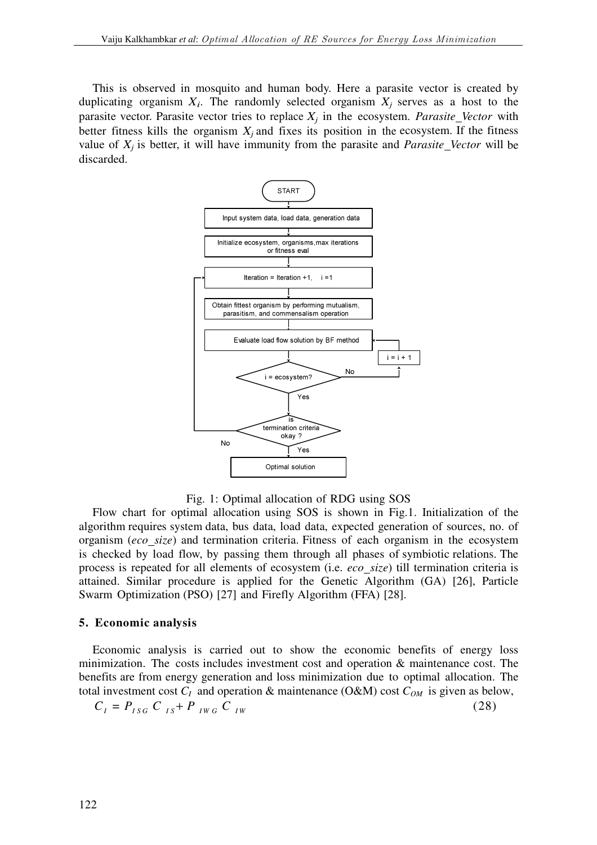This is observed in mosquito and human body. Here a parasite vector is created by duplicating organism  $X_i$ . The randomly selected organism  $X_j$  serves as a host to the parasite vector. Parasite vector tries to replace  $X_i$  in the ecosystem. *Parasite\_Vector* with better fitness kills the organism  $X_j$  and fixes its position in the ecosystem. If the fitness value of  $X_j$  is better, it will have immunity from the parasite and *Parasite* Vector will be discarded.



Fig. 1: Optimal allocation of RDG using SOS

Flow chart for optimal allocation using SOS is shown in Fig.1. Initialization of the algorithm requires system data, bus data, load data, expected generation of sources, no. of organism (*eco size*) and termination criteria. Fitness of each organism in the ecosystem is checked by load flow, by passing them through all phases of symbiotic relations. The process is repeated for all elements of ecosystem (i.e. *eco size*) till termination criteria is attained. Similar procedure is applied for the Genetic Algorithm (GA) [26], Particle Swarm Optimization (PSO) [27] and Firefly Algorithm (FFA) [28].

## **5. Economic analysis**

Economic analysis is carried out to show the economic benefits of energy loss minimization. The costs includes investment cost and operation  $\&$  maintenance cost. The benefits are from energy generation and loss minimization due to optimal allocation. The total investment cost  $C_I$  and operation & maintenance (O&M) cost  $C_{OM}$  is given as below,

$$
C_{I} = P_{ISG} C_{IS} + P_{IWG} C_{IW}
$$
 (28)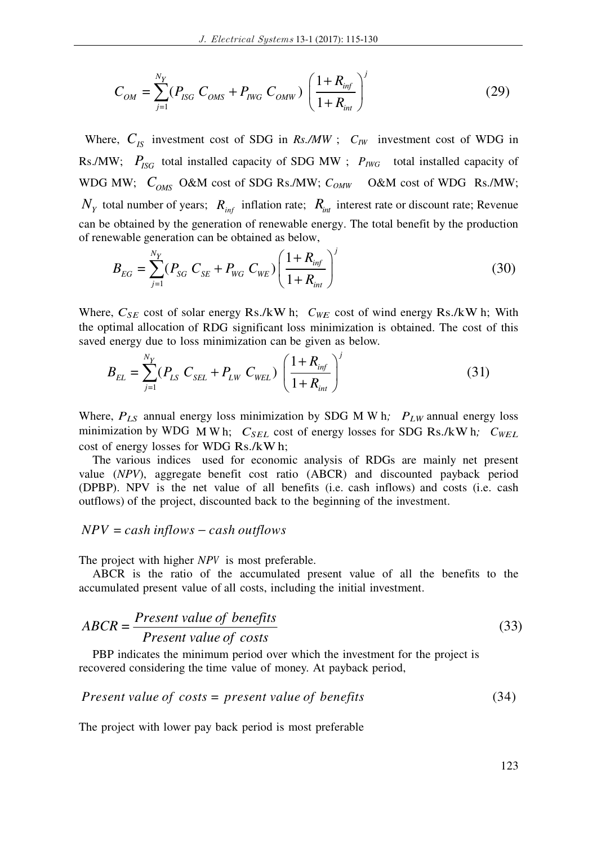$$
C_{OM} = \sum_{j=1}^{N_Y} (P_{ISG} C_{OMS} + P_{IWG} C_{OMW}) \left(\frac{1 + R_{inf}}{1 + R_{int}}\right)^j
$$
(29)

Where,  $C_{IS}$  investment cost of SDG in *Rs./MW* ;  $C_{IW}$  investment cost of WDG in Rs./MW;  $P_{ISG}$  total installed capacity of SDG MW ;  $P_{IWG}$  total installed capacity of WDG MW;  $C_{OMS}$  O&M cost of SDG Rs./MW;  $C_{OMW}$  O&M cost of WDG Rs./MW;  $N_Y$  total number of years;  $R_{inf}$  inflation rate;  $R_{int}$  interest rate or discount rate; Revenue can be obtained by the generation of renewable energy. The total benefit by the production of renewable generation can be obtained as below,

$$
B_{EG} = \sum_{j=1}^{N_Y} (P_{SG} C_{SE} + P_{WG} C_{WE}) \left(\frac{1 + R_{inf}}{1 + R_{int}}\right)^j
$$
(30)

Where,  $C_{SE}$  cost of solar energy Rs./kW h;  $C_{WE}$  cost of wind energy Rs./kW h; With the optimal allocation of RDG significant loss minimization is obtained. The cost of this saved energy due to loss minimization can be given as below.

$$
B_{EL} = \sum_{j=1}^{N_Y} (P_{LS} C_{SEL} + P_{LW} C_{WEL}) \left(\frac{1 + R_{inf}}{1 + R_{int}}\right)^j
$$
(31)

Where,  $P_{LS}$  annual energy loss minimization by SDG M W h;  $P_{LW}$  annual energy loss minimization by WDG M W h;  $C_{SEL}$  cost of energy losses for SDG Rs./kW h;  $C_{WEL}$ cost of energy losses for WDG Rs./kW h;

The various indices used for economic analysis of RDGs are mainly net present value (*NPV*), aggregate benefit cost ratio (ABCR) and discounted payback period (DPBP). NPV is the net value of all benefits (i.e. cash inflows) and costs (i.e. cash outflows) of the project, discounted back to the beginning of the investment.

## $NPV = cash inflows - cash outflows$

The project with higher *NPV* is most preferable.

ABCR is the ratio of the accumulated present value of all the benefits to the accumulated present value of all costs, including the initial investment.

$$
ABCR = \frac{Present\ value\ of\ benefits}{Present\ value\ of\ costs} \tag{33}
$$

 PBP indicates the minimum period over which the investment for the project is recovered considering the time value of money. At payback period,

$$
Present value of costs = present value of benefits
$$
\n
$$
(34)
$$

The project with lower pay back period is most preferable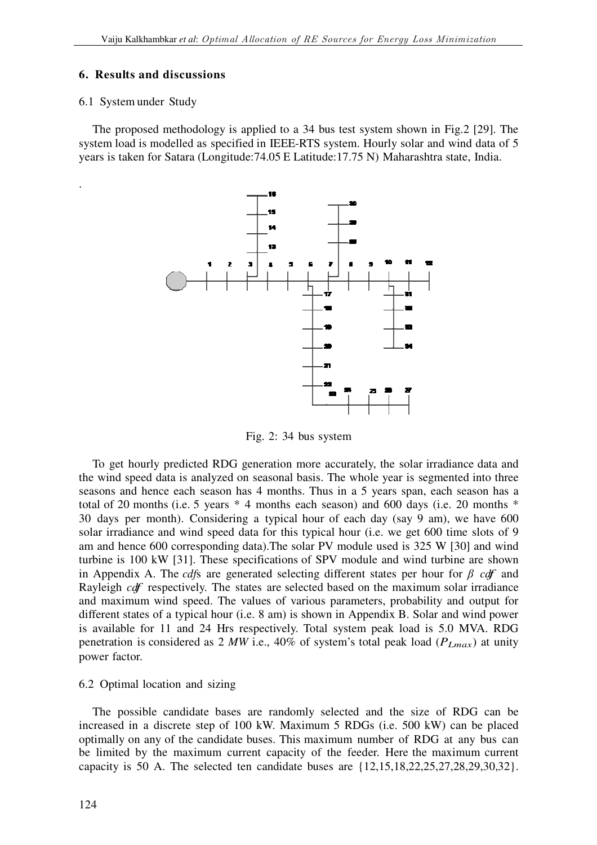# **6. Results and discussions**

## 6.1 System under Study

.

The proposed methodology is applied to a 34 bus test system shown in Fig.2 [29]. The system load is modelled as specified in IEEE-RTS system. Hourly solar and wind data of 5 years is taken for Satara (Longitude:74.05 E Latitude:17.75 N) Maharashtra state, India.



Fig. 2: 34 bus system

To get hourly predicted RDG generation more accurately, the solar irradiance data and the wind speed data is analyzed on seasonal basis. The whole year is segmented into three seasons and hence each season has 4 months. Thus in a 5 years span, each season has a total of 20 months (i.e. 5 years  $*$  4 months each season) and 600 days (i.e. 20 months  $*$ 30 days per month). Considering a typical hour of each day (say 9 am), we have 600 solar irradiance and wind speed data for this typical hour (i.e. we get 600 time slots of 9 am and hence 600 corresponding data). The solar PV module used is 325 W [30] and wind turbine is 100 kW [31]. These specifications of SPV module and wind turbine are shown in Appendix A. The *cdf*s are generated generated selecting different states per hour for *<sup>β</sup> cdf* and Rayleigh cdf respectively. The states are selected based on the maximum solar irradiance and maximum wind speed. The values of various parameters, probability and output for different states of a typical hour (i.e. 8 am) is shown in Appendix B. Solar and wind power is available for 11 and 24 Hrs respectively. Total system peak load is 5.0 MVA. RDG penetration is considered as 2 MW i.e., 40% of system's total peak load ( $P_{Lmax}$ ) at unity power factor.

## 6.2 Optimal location and sizing

The possible candidate bases are randomly selected and the size of RDG can be increased in a discrete step of 100 kW. Maximum 5 RDGs (i.e. 500 kW) can be placed optimally on any of the candidate buses. This maximum number of RDG at any bus can be limited by the maximum current capacity of the feeder. Here the maximum current capacity is 50 A. The selected ten candidate buses are  $\{12, 15, 18, 22, 25, 27, 28, 29, 30, 32\}$ .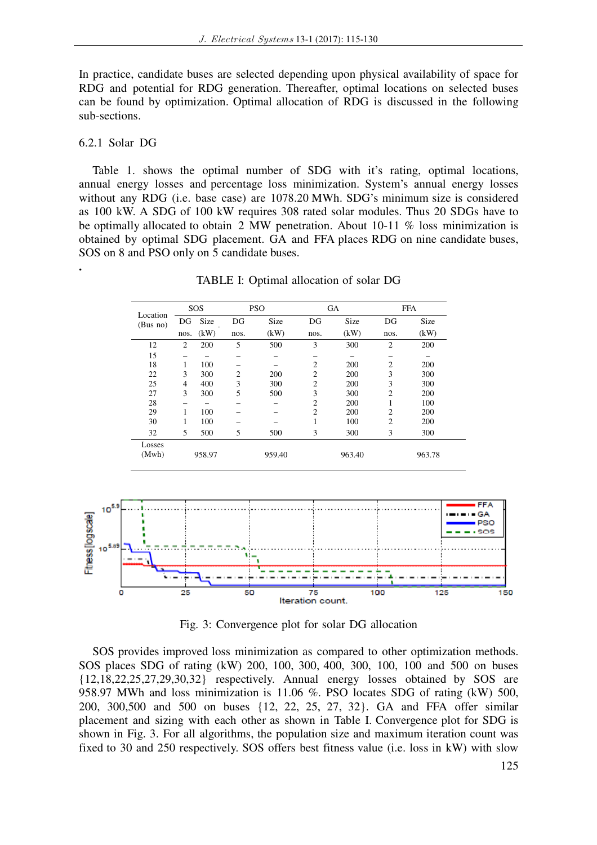In practice, candidate buses are selected depending upon physical availability of space for RDG and potential for RDG generation. Thereafter, optimal locations on selected buses can be found by optimization. Optimal allocation of RDG is discussed in the following sub-sections.

### 6.2.1 Solar DG

**.** 

Table 1. shows the optimal number of SDG with it's rating, optimal locations, annual energy losses and percentage loss minimization. System's annual energy losses without any RDG (i.e. base case) are 1078.20 MWh. SDG's minimum size is considered as 100 kW. A SDG of 100 kW requires 308 rated solar modules. Thus 20 SDGs have to be optimally allocated to obtain 2 MW penetration. About 10-11 % loss minimization is obtained by optimal SDG placement. GA and FFA places RDG on nine candidate buses, SOS on 8 and PSO only on 5 candidate buses.

|                      |      | SOS    | <b>PSO</b>     |        | <b>GA</b>      |        | <b>FFA</b>     |        |
|----------------------|------|--------|----------------|--------|----------------|--------|----------------|--------|
| Location<br>(Bus no) | DG   | Size   | DG             | Size   | DG             | Size   | DG             | Size   |
|                      | nos. | (kW)   | nos.           | (kW)   | nos.           | (kW)   | nos.           | (kW)   |
| 12                   | 2    | 200    | 5              | 500    | 3              | 300    | $\overline{2}$ | 200    |
| 15                   |      |        |                |        |                |        |                |        |
| 18                   |      | 100    |                |        | $\overline{2}$ | 200    | $\overline{2}$ | 200    |
| 22                   | 3    | 300    | $\overline{c}$ | 200    | $\overline{2}$ | 200    | 3              | 300    |
| 25                   | 4    | 400    | 3              | 300    | $\overline{2}$ | 200    | 3              | 300    |
| 27                   | 3    | 300    | 5              | 500    | 3              | 300    | $\overline{2}$ | 200    |
| 28                   |      |        |                |        | $\overline{c}$ | 200    |                | 100    |
| 29                   |      | 100    |                |        | $\overline{c}$ | 200    | $\overline{2}$ | 200    |
| 30                   |      | 100    |                |        |                | 100    | $\overline{c}$ | 200    |
| 32                   | 5    | 500    | 5              | 500    | 3              | 300    | 3              | 300    |
| Losses               |      |        |                |        |                |        |                |        |
| (Mwh)                |      | 958.97 |                | 959.40 |                | 963.40 |                | 963.78 |

TABLE I: Optimal allocation of solar DG



Fig. 3: Convergence plot for solar DG allocation

SOS provides improved loss minimization as compared to other optimization methods. SOS places SDG of rating (kW) 200, 100, 300, 400, 300, 100, 100 and 500 on buses {12,18,22,25,27,29,30,32} respectively. Annual energy losses obtained by SOS are 958.97 MWh and loss minimization is 11.06 %. PSO locates SDG of rating (kW) 500, 200, 300,500 and 500 on buses {12, 22, 25, 27, 32}. GA and FFA offer similar placement and sizing with each other as shown in Table I. Convergence plot for SDG is shown in Fig. 3. For all algorithms, the population size and maximum iteration count was fixed to 30 and 250 respectively. SOS offers best fitness value (i.e. loss in kW) with slow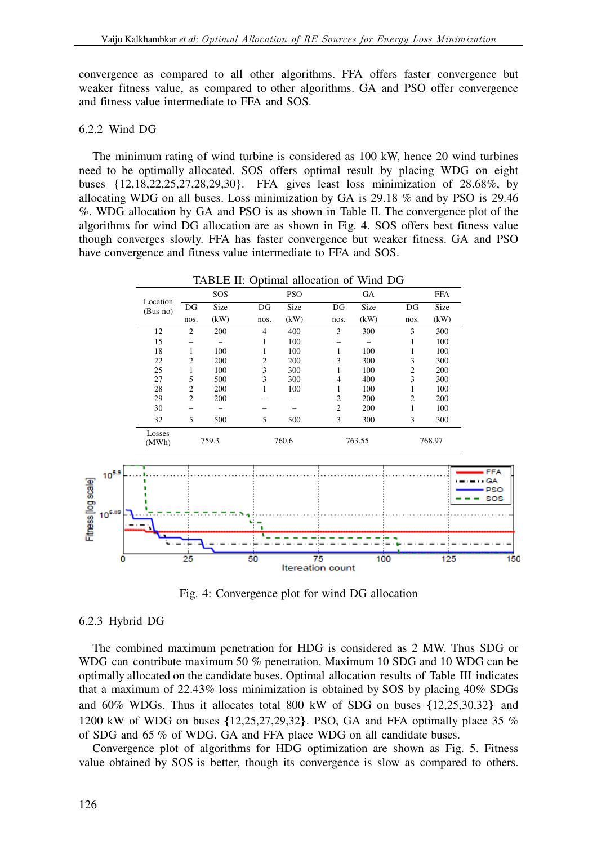convergence as compared to all other algorithms. FFA offers faster convergence but weaker fitness value, as compared to other algorithms. GA and PSO offer convergence and fitness value intermediate to FFA and SOS.

### 6.2.2 Wind DG

The minimum rating of wind turbine is considered as 100 kW, hence 20 wind turbines need to be optimally allocated. SOS offers optimal result by placing WDG on eight buses {12,18,22,25,27,28,29,30}. FFA gives least loss minimization of 28.68%, by allocating WDG on all buses. Loss minimization by GA is 29.18 % and by PSO is 29.46 %. WDG allocation by GA and PSO is as shown in Table II. The convergence plot of the algorithms for wind DG allocation are as shown in Fig. 4. SOS offers best fitness value though converges slowly. FFA has faster convergence but weaker fitness. GA and PSO have convergence and fitness value intermediate to FFA and SOS.



Fig. 4: Convergence plot for wind DG allocation

### 6.2.3 Hybrid DG

The combined maximum penetration for HDG is considered as 2 MW. Thus SDG or WDG can contribute maximum 50 % penetration. Maximum 10 SDG and 10 WDG can be optimally allocated on the candidate buses. Optimal allocation results of Table III indicates that a maximum of 22.43% loss minimization is obtained by SOS by placing 40% SDGs and 60% WDGs. Thus it allocates total 800 kW of SDG on buses {12,25,30,32} and 1200 kW of WDG on buses {12,25,27,29,32}. PSO, GA and FFA optimally place 35 % of SDG and 65 % of WDG. GA and FFA place WDG on all candidate buses.

Convergence plot of algorithms for HDG optimization are shown as Fig. 5. Fitness value obtained by SOS is better, though its convergence is slow as compared to others.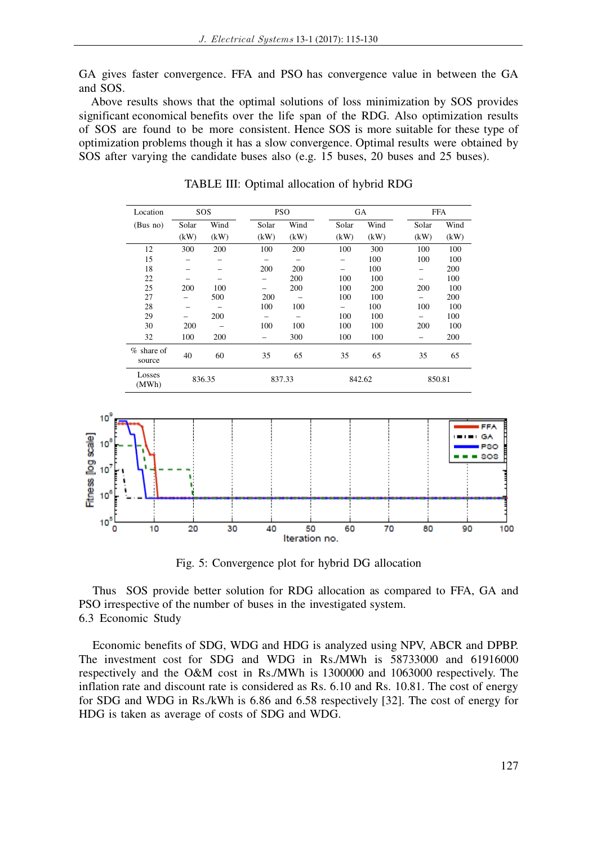GA gives faster convergence. FFA and PSO has convergence value in between the GA and SOS.

 Above results shows that the optimal solutions of loss minimization by SOS provides significant economical benefits over the life span of the RDG. Also optimization results of SOS are found to be more consistent. Hence SOS is more suitable for these type of optimization problems though it has a slow convergence. Optimal results were obtained by SOS after varying the candidate buses also (e.g. 15 buses, 20 buses and 25 buses).

| Location               |       | SOS    |       | <b>PSO</b>               |        | GA   |       | <b>FFA</b> |  |
|------------------------|-------|--------|-------|--------------------------|--------|------|-------|------------|--|
| (Bus no)               | Solar | Wind   | Solar | Wind                     | Solar  | Wind | Solar | Wind       |  |
|                        | (kW)  | (kW)   | (kW)  | (kW)                     | (kW)   | (kW) | (kW)  | (kW)       |  |
| 12                     | 300   | 200    | 100   | 200                      | 100    | 300  | 100   | 100        |  |
| 15                     |       | -      | -     | -                        |        | 100  | 100   | 100        |  |
| 18                     |       |        | 200   | 200                      |        | 100  |       | 200        |  |
| 22                     |       |        |       | 200                      | 100    | 100  |       | 100        |  |
| 25                     | 200   | 100    | -     | 200                      | 100    | 200  | 200   | 100        |  |
| 27                     |       | 500    | 200   |                          | 100    | 100  |       | 200        |  |
| 28                     |       |        | 100   | 100                      |        | 100  | 100   | 100        |  |
| 29                     | -     | 200    | -     | $\overline{\phantom{0}}$ | 100    | 100  |       | 100        |  |
| 30                     | 200   |        | 100   | 100                      | 100    | 100  | 200   | 100        |  |
| 32                     | 100   | 200    |       | 300                      | 100    | 100  |       | 200        |  |
| $%$ share of<br>source | 40    | 60     | 35    | 65                       | 35     | 65   | 35    | 65         |  |
| Losses<br>(MWh)        |       | 836.35 |       | 837.33                   | 842.62 |      |       | 850.81     |  |

TABLE III: Optimal allocation of hybrid RDG



Fig. 5: Convergence plot for hybrid DG allocation

Thus SOS provide better solution for RDG allocation as compared to FFA, GA and PSO irrespective of the number of buses in the investigated system. 6.3 Economic Study

Economic benefits of SDG, WDG and HDG is analyzed using NPV, ABCR and DPBP. The investment cost for SDG and WDG in Rs./MWh is 58733000 and 61916000 respectively and the O&M cost in Rs./MWh is 1300000 and 1063000 respectively. The inflation rate and discount rate is considered as Rs. 6.10 and Rs. 10.81. The cost of energy for SDG and WDG in Rs./kWh is 6.86 and 6.58 respectively [32]. The cost of energy for HDG is taken as average of costs of SDG and WDG.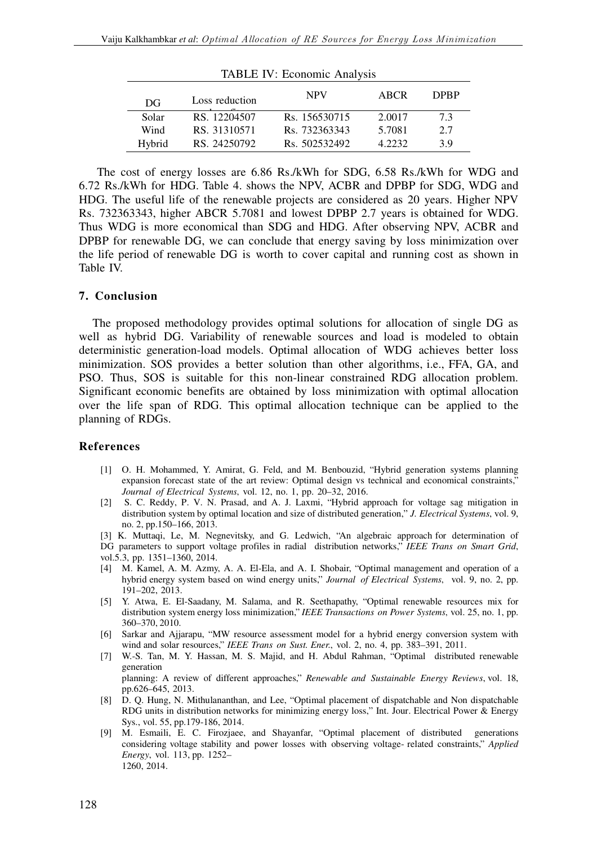| TABLE IV: Economic Analysis |                |               |        |             |  |  |  |
|-----------------------------|----------------|---------------|--------|-------------|--|--|--|
| DG                          | Loss reduction | <b>NPV</b>    | ABCR   | <b>DPRP</b> |  |  |  |
| Solar                       | RS. 12204507   | Rs. 156530715 | 2.0017 | 7.3         |  |  |  |
| Wind                        | RS. 31310571   | Rs. 732363343 | 5.7081 | 2.7         |  |  |  |
| Hybrid                      | RS. 24250792   | Rs. 502532492 | 4.2232 | 3.9         |  |  |  |

 The cost of energy losses are 6.86 Rs./kWh for SDG, 6.58 Rs./kWh for WDG and 6.72 Rs./kWh for HDG. Table 4. shows the NPV, ACBR and DPBP for SDG, WDG and HDG. The useful life of the renewable projects are considered as 20 years. Higher NPV Rs. 732363343, higher ABCR 5.7081 and lowest DPBP 2.7 years is obtained for WDG. Thus WDG is more economical than SDG and HDG. After observing NPV, ACBR and DPBP for renewable DG, we can conclude that energy saving by loss minimization over the life period of renewable DG is worth to cover capital and running cost as shown in Table IV.

### **7. Conclusion**

The proposed methodology provides optimal solutions for allocation of single DG as well as hybrid DG. Variability of renewable sources and load is modeled to obtain deterministic generation-load models. Optimal allocation of WDG achieves better loss minimization. SOS provides a better solution than other algorithms, i.e., FFA, GA, and PSO. Thus, SOS is suitable for this non-linear constrained RDG allocation problem. Significant economic benefits are obtained by loss minimization with optimal allocation over the life span of RDG. This optimal allocation technique can be applied to the planning of RDGs.

### **References**

- [1] O. H. Mohammed, Y. Amirat, G. Feld, and M. Benbouzid, "Hybrid generation systems planning expansion forecast state of the art review: Optimal design vs technical and economical constraints," *Journal of Electrical Systems*, vol. 12, no. 1, pp. 20–32, 2016.
- [2] S. C. Reddy, P. V. N. Prasad, and A. J. Laxmi, "Hybrid approach for voltage sag mitigation in distribution system by optimal location and size of distributed generation," *J. Electrical Systems*, vol. 9, no. 2, pp.150–166, 2013.

[3] K. Muttaqi, Le, M. Negnevitsky, and G. Ledwich, "An algebraic approach for determination of DG parameters to support voltage profiles in radial distribution networks," *IEEE Trans on Smart Grid*, vol.5.3, pp. 1351–1360, 2014.

- [4] M. Kamel, A. M. Azmy, A. A. El-Ela, and A. I. Shobair, "Optimal management and operation of a hybrid energy system based on wind energy units," *Journal of Electrical Systems*, vol. 9, no. 2, pp. 191–202, 2013.
- [5] Y. Atwa, E. El-Saadany, M. Salama, and R. Seethapathy, "Optimal renewable resources mix for distribution system energy loss minimization," *IEEE Transactions on Power Systems*, vol. 25, no. 1, pp. 360–370, 2010.
- [6] Sarkar and Ajjarapu, "MW resource assessment model for a hybrid energy conversion system with wind and solar resources," *IEEE Trans on Sust. Ener*., vol. 2, no. 4, pp. 383–391, 2011.
- [7] W.-S. Tan, M. Y. Hassan, M. S. Majid, and H. Abdul Rahman, "Optimal distributed renewable generation

planning: A review of different approaches," *Renewable and Sustainable Energy Reviews*, vol. 18, pp.626–645, 2013.

- [8] D. Q. Hung, N. Mithulananthan, and Lee, "Optimal placement of dispatchable and Non dispatchable RDG units in distribution networks for minimizing energy loss," Int. Jour. Electrical Power & Energy Sys., vol. 55, pp.179-186, 2014.
- [9] M. Esmaili, E. C. Firozjaee, and Shayanfar, "Optimal placement of distributed generations considering voltage stability and power losses with observing voltage- related constraints," *Applied Energy*, vol. 113, pp. 1252– 1260, 2014.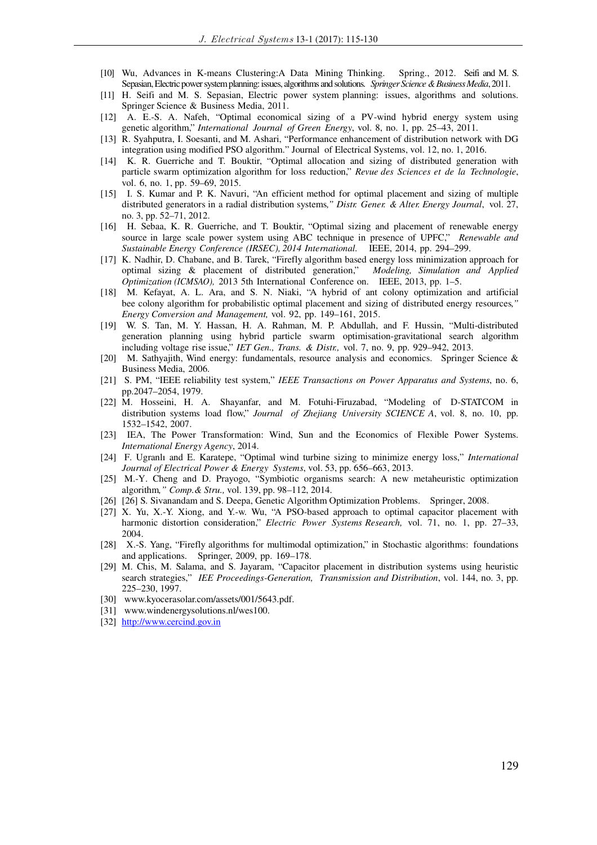- [10] Wu, Advances in K-means Clustering:A Data Mining Thinking. Spring., 2012. Seifi and M. S. Sepasian, Electric power system planning: issues, algorithms and solutions. *Springer Science & Business Media*, 2011.
- [11] H. Seifi and M. S. Sepasian, Electric power system planning: issues, algorithms and solutions. Springer Science & Business Media, 2011.
- [12] A. E.-S. A. Nafeh, "Optimal economical sizing of a PV-wind hybrid energy system using genetic algorithm," *International Journal of Green Energy*, vol. 8, no. 1, pp. 25–43, 2011.
- [13] R. Syahputra, I. Soesanti, and M. Ashari, "Performance enhancement of distribution network with DG integration using modified PSO algorithm." Journal of Electrical Systems, vol. 12, no. 1, 2016.
- [14] K. R. Guerriche and T. Bouktir, "Optimal allocation and sizing of distributed generation with particle swarm optimization algorithm for loss reduction," *Revue des Sciences et de la Technologie*, vol. 6, no. 1, pp. 59–69, 2015.
- [15] I. S. Kumar and P. K. Navuri, "An efficient method for optimal placement and sizing of multiple distributed generators in a radial distribution systems*," Distr. Gener. & Alter. Energy Journal*, vol. 27, no. 3, pp. 52–71, 2012.
- [16] H. Sebaa, K. R. Guerriche, and T. Bouktir, "Optimal sizing and placement of renewable energy source in large scale power system using ABC technique in presence of UPFC," *Renewable and Sustainable Energy Conference (IRSEC), 2014 International.* IEEE, 2014, pp. 294–299.
- [17] K. Nadhir, D. Chabane, and B. Tarek, "Firefly algorithm based energy loss minimization approach for optimal sizing & placement of distributed generation," *Modeling, Simulation and Applied Optimization (ICMSAO),* 2013 5th International Conference on. IEEE, 2013, pp. 1–5.
- [18] M. Kefayat, A. L. Ara, and S. N. Niaki, "A hybrid of ant colony optimization and artificial bee colony algorithm for probabilistic optimal placement and sizing of distributed energy resources*," Energy Conversion and Management,* vol. 92, pp. 149–161, 2015.
- [19] W. S. Tan, M. Y. Hassan, H. A. Rahman, M. P. Abdullah, and F. Hussin, "Multi-distributed generation planning using hybrid particle swarm optimisation-gravitational search algorithm including voltage rise issue," *IET Gen., Trans. & Distr.,* vol. 7, no. 9, pp. 929–942, 2013.
- [20] M. Sathyajith, Wind energy: fundamentals, resource analysis and economics. Springer Science & Business Media, 2006.
- [21] S. PM, "IEEE reliability test system," *IEEE Transactions on Power Apparatus and Systems*, no. 6, pp.2047–2054, 1979.
- [22] M. Hosseini, H. A. Shayanfar, and M. Fotuhi-Firuzabad, "Modeling of D-STATCOM in distribution systems load flow," *Journal of Zhejiang University SCIENCE A*, vol. 8, no. 10, pp. 1532–1542, 2007.
- [23] IEA, The Power Transformation: Wind, Sun and the Economics of Flexible Power Systems. *International Energy Agency*, 2014.
- [24] F. Ugranlı and E. Karatepe, "Optimal wind turbine sizing to minimize energy loss," *International Journal of Electrical Power & Energy Systems*, vol. 53, pp. 656–663, 2013.
- [25] M.-Y. Cheng and D. Prayogo, "Symbiotic organisms search: A new metaheuristic optimization algorithm*," Comp.& Stru.,* vol. 139, pp. 98–112, 2014.
- [26] [26] S. Sivanandam and S. Deepa, Genetic Algorithm Optimization Problems. Springer, 2008.
- [27] X. Yu, X.-Y. Xiong, and Y.-w. Wu, "A PSO-based approach to optimal capacitor placement with harmonic distortion consideration," *Electric Power Systems Research,* vol. 71, no. 1, pp. 27–33, 2004.
- [28] X.-S. Yang, "Firefly algorithms for multimodal optimization," in Stochastic algorithms: foundations and applications. Springer, 2009, pp. 169–178.
- [29] M. Chis, M. Salama, and S. Jayaram, "Capacitor placement in distribution systems using heuristic search strategies," *IEE Proceedings-Generation, Transmission and Distribution*, vol. 144, no. 3, pp. 225–230, 1997.
- [30] www.kyocerasolar.com/assets/001/5643.pdf.
- [31] www.windenergysolutions.nl/wes100.
- [32] http://www.cercind.gov.in